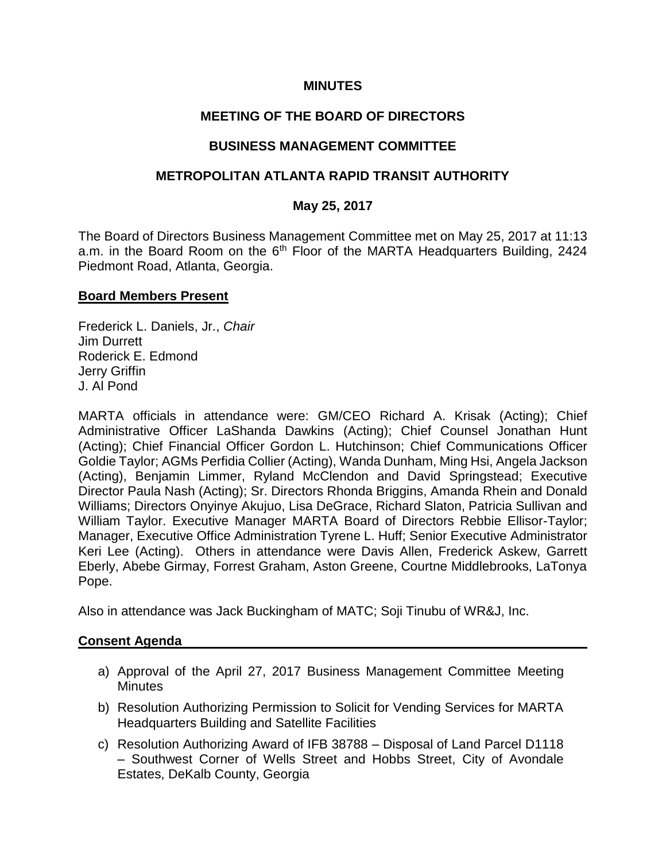### **MINUTES**

### **MEETING OF THE BOARD OF DIRECTORS**

#### **BUSINESS MANAGEMENT COMMITTEE**

#### **METROPOLITAN ATLANTA RAPID TRANSIT AUTHORITY**

#### **May 25, 2017**

The Board of Directors Business Management Committee met on May 25, 2017 at 11:13 a.m. in the Board Room on the  $6<sup>th</sup>$  Floor of the MARTA Headquarters Building, 2424 Piedmont Road, Atlanta, Georgia.

#### **Board Members Present**

Frederick L. Daniels, Jr., *Chair*  Jim Durrett Roderick E. Edmond Jerry Griffin J. Al Pond

MARTA officials in attendance were: GM/CEO Richard A. Krisak (Acting); Chief Administrative Officer LaShanda Dawkins (Acting); Chief Counsel Jonathan Hunt (Acting); Chief Financial Officer Gordon L. Hutchinson; Chief Communications Officer Goldie Taylor; AGMs Perfidia Collier (Acting), Wanda Dunham, Ming Hsi, Angela Jackson (Acting), Benjamin Limmer, Ryland McClendon and David Springstead; Executive Director Paula Nash (Acting); Sr. Directors Rhonda Briggins, Amanda Rhein and Donald Williams; Directors Onyinye Akujuo, Lisa DeGrace, Richard Slaton, Patricia Sullivan and William Taylor. Executive Manager MARTA Board of Directors Rebbie Ellisor-Taylor; Manager, Executive Office Administration Tyrene L. Huff; Senior Executive Administrator Keri Lee (Acting). Others in attendance were Davis Allen, Frederick Askew, Garrett Eberly, Abebe Girmay, Forrest Graham, Aston Greene, Courtne Middlebrooks, LaTonya Pope.

Also in attendance was Jack Buckingham of MATC; Soji Tinubu of WR&J, Inc.

#### **Consent Agenda**

- a) Approval of the April 27, 2017 Business Management Committee Meeting **Minutes**
- b) Resolution Authorizing Permission to Solicit for Vending Services for MARTA Headquarters Building and Satellite Facilities
- c) Resolution Authorizing Award of IFB 38788 Disposal of Land Parcel D1118 – Southwest Corner of Wells Street and Hobbs Street, City of Avondale Estates, DeKalb County, Georgia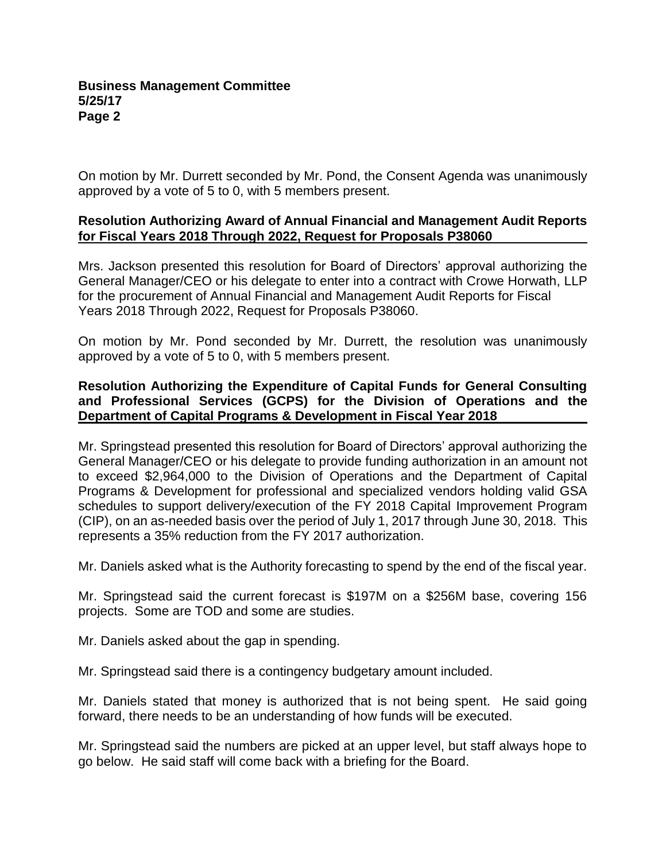On motion by Mr. Durrett seconded by Mr. Pond, the Consent Agenda was unanimously approved by a vote of 5 to 0, with 5 members present.

### **Resolution Authorizing Award of Annual Financial and Management Audit Reports for Fiscal Years 2018 Through 2022, Request for Proposals P38060**

Mrs. Jackson presented this resolution for Board of Directors' approval authorizing the General Manager/CEO or his delegate to enter into a contract with Crowe Horwath, LLP for the procurement of Annual Financial and Management Audit Reports for Fiscal Years 2018 Through 2022, Request for Proposals P38060.

On motion by Mr. Pond seconded by Mr. Durrett, the resolution was unanimously approved by a vote of 5 to 0, with 5 members present.

### **Resolution Authorizing the Expenditure of Capital Funds for General Consulting and Professional Services (GCPS) for the Division of Operations and the Department of Capital Programs & Development in Fiscal Year 2018**

Mr. Springstead presented this resolution for Board of Directors' approval authorizing the General Manager/CEO or his delegate to provide funding authorization in an amount not to exceed \$2,964,000 to the Division of Operations and the Department of Capital Programs & Development for professional and specialized vendors holding valid GSA schedules to support delivery/execution of the FY 2018 Capital Improvement Program (CIP), on an as-needed basis over the period of July 1, 2017 through June 30, 2018. This represents a 35% reduction from the FY 2017 authorization.

Mr. Daniels asked what is the Authority forecasting to spend by the end of the fiscal year.

Mr. Springstead said the current forecast is \$197M on a \$256M base, covering 156 projects. Some are TOD and some are studies.

Mr. Daniels asked about the gap in spending.

Mr. Springstead said there is a contingency budgetary amount included.

Mr. Daniels stated that money is authorized that is not being spent. He said going forward, there needs to be an understanding of how funds will be executed.

Mr. Springstead said the numbers are picked at an upper level, but staff always hope to go below. He said staff will come back with a briefing for the Board.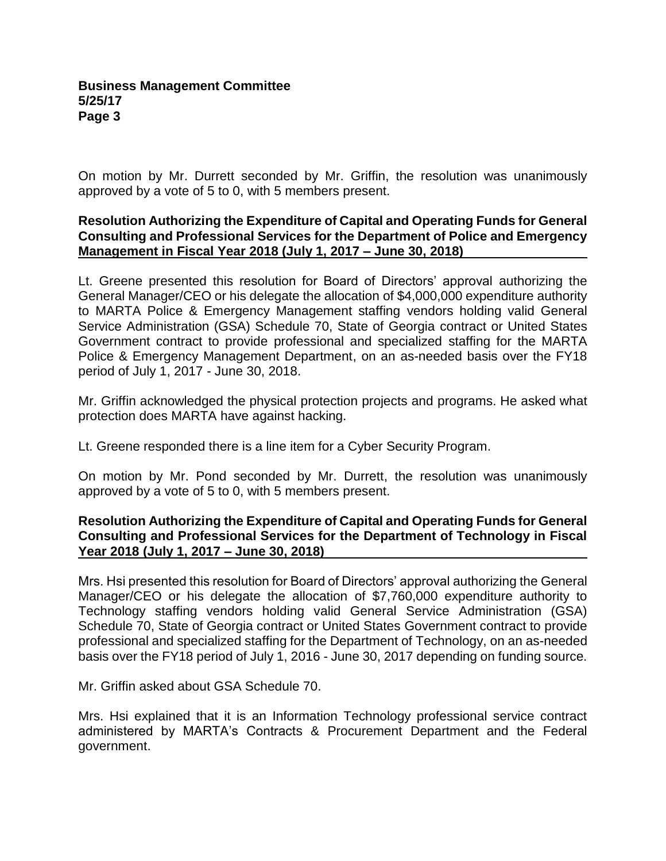On motion by Mr. Durrett seconded by Mr. Griffin, the resolution was unanimously approved by a vote of 5 to 0, with 5 members present.

### **Resolution Authorizing the Expenditure of Capital and Operating Funds for General Consulting and Professional Services for the Department of Police and Emergency Management in Fiscal Year 2018 (July 1, 2017 – June 30, 2018)**

Lt. Greene presented this resolution for Board of Directors' approval authorizing the General Manager/CEO or his delegate the allocation of \$4,000,000 expenditure authority to MARTA Police & Emergency Management staffing vendors holding valid General Service Administration (GSA) Schedule 70, State of Georgia contract or United States Government contract to provide professional and specialized staffing for the MARTA Police & Emergency Management Department, on an as-needed basis over the FY18 period of July 1, 2017 - June 30, 2018.

Mr. Griffin acknowledged the physical protection projects and programs. He asked what protection does MARTA have against hacking.

Lt. Greene responded there is a line item for a Cyber Security Program.

On motion by Mr. Pond seconded by Mr. Durrett, the resolution was unanimously approved by a vote of 5 to 0, with 5 members present.

### **Resolution Authorizing the Expenditure of Capital and Operating Funds for General Consulting and Professional Services for the Department of Technology in Fiscal Year 2018 (July 1, 2017 – June 30, 2018)**

Mrs. Hsi presented this resolution for Board of Directors' approval authorizing the General Manager/CEO or his delegate the allocation of \$7,760,000 expenditure authority to Technology staffing vendors holding valid General Service Administration (GSA) Schedule 70, State of Georgia contract or United States Government contract to provide professional and specialized staffing for the Department of Technology, on an as-needed basis over the FY18 period of July 1, 2016 - June 30, 2017 depending on funding source.

Mr. Griffin asked about GSA Schedule 70.

Mrs. Hsi explained that it is an Information Technology professional service contract administered by MARTA's Contracts & Procurement Department and the Federal government.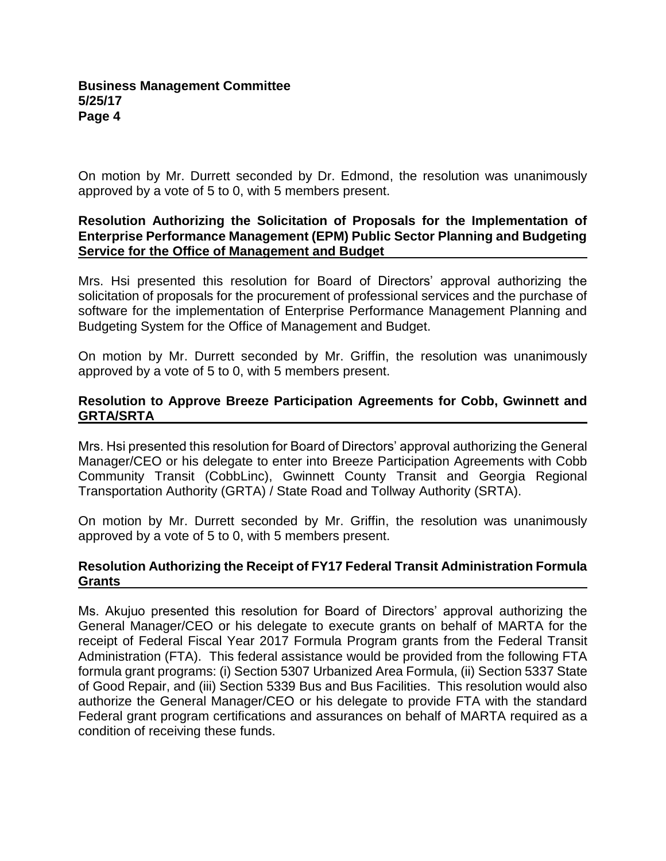On motion by Mr. Durrett seconded by Dr. Edmond, the resolution was unanimously approved by a vote of 5 to 0, with 5 members present.

### **Resolution Authorizing the Solicitation of Proposals for the Implementation of Enterprise Performance Management (EPM) Public Sector Planning and Budgeting Service for the Office of Management and Budget**

Mrs. Hsi presented this resolution for Board of Directors' approval authorizing the solicitation of proposals for the procurement of professional services and the purchase of software for the implementation of Enterprise Performance Management Planning and Budgeting System for the Office of Management and Budget.

On motion by Mr. Durrett seconded by Mr. Griffin, the resolution was unanimously approved by a vote of 5 to 0, with 5 members present.

### **Resolution to Approve Breeze Participation Agreements for Cobb, Gwinnett and GRTA/SRTA**

Mrs. Hsi presented this resolution for Board of Directors' approval authorizing the General Manager/CEO or his delegate to enter into Breeze Participation Agreements with Cobb Community Transit (CobbLinc), Gwinnett County Transit and Georgia Regional Transportation Authority (GRTA) / State Road and Tollway Authority (SRTA).

On motion by Mr. Durrett seconded by Mr. Griffin, the resolution was unanimously approved by a vote of 5 to 0, with 5 members present.

### **Resolution Authorizing the Receipt of FY17 Federal Transit Administration Formula Grants**

Ms. Akujuo presented this resolution for Board of Directors' approval authorizing the General Manager/CEO or his delegate to execute grants on behalf of MARTA for the receipt of Federal Fiscal Year 2017 Formula Program grants from the Federal Transit Administration (FTA). This federal assistance would be provided from the following FTA formula grant programs: (i) Section 5307 Urbanized Area Formula, (ii) Section 5337 State of Good Repair, and (iii) Section 5339 Bus and Bus Facilities. This resolution would also authorize the General Manager/CEO or his delegate to provide FTA with the standard Federal grant program certifications and assurances on behalf of MARTA required as a condition of receiving these funds.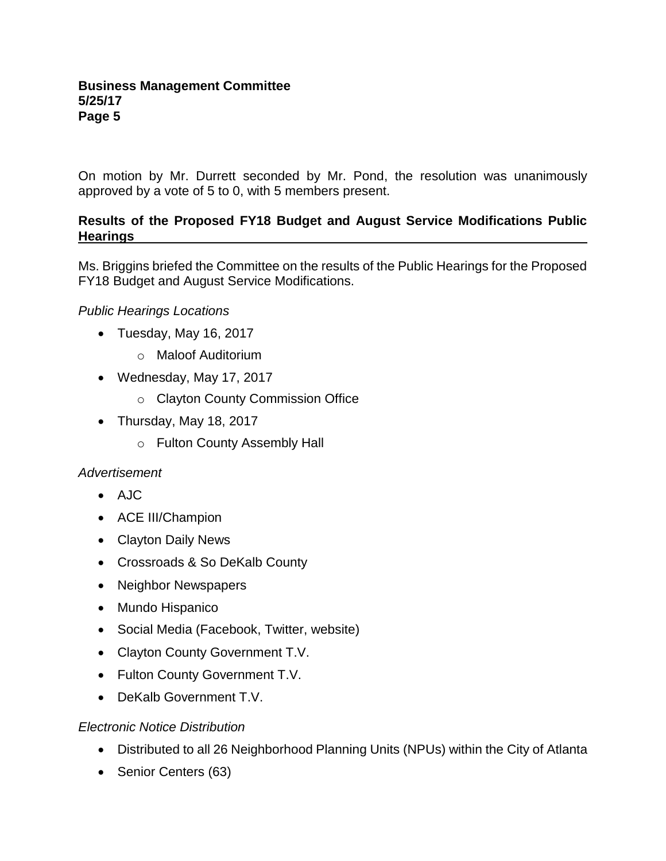On motion by Mr. Durrett seconded by Mr. Pond, the resolution was unanimously approved by a vote of 5 to 0, with 5 members present.

### **Results of the Proposed FY18 Budget and August Service Modifications Public Hearings**

Ms. Briggins briefed the Committee on the results of the Public Hearings for the Proposed FY18 Budget and August Service Modifications.

### *Public Hearings Locations*

- Tuesday, May 16, 2017
	- o Maloof Auditorium
- Wednesday, May 17, 2017
	- o Clayton County Commission Office
- Thursday, May 18, 2017
	- o Fulton County Assembly Hall

### *Advertisement*

- AJC
- ACE III/Champion
- Clayton Daily News
- Crossroads & So DeKalb County
- Neighbor Newspapers
- Mundo Hispanico
- Social Media (Facebook, Twitter, website)
- Clayton County Government T.V.
- Fulton County Government T.V.
- DeKalb Government T.V.

### *Electronic Notice Distribution*

- Distributed to all 26 Neighborhood Planning Units (NPUs) within the City of Atlanta
- Senior Centers (63)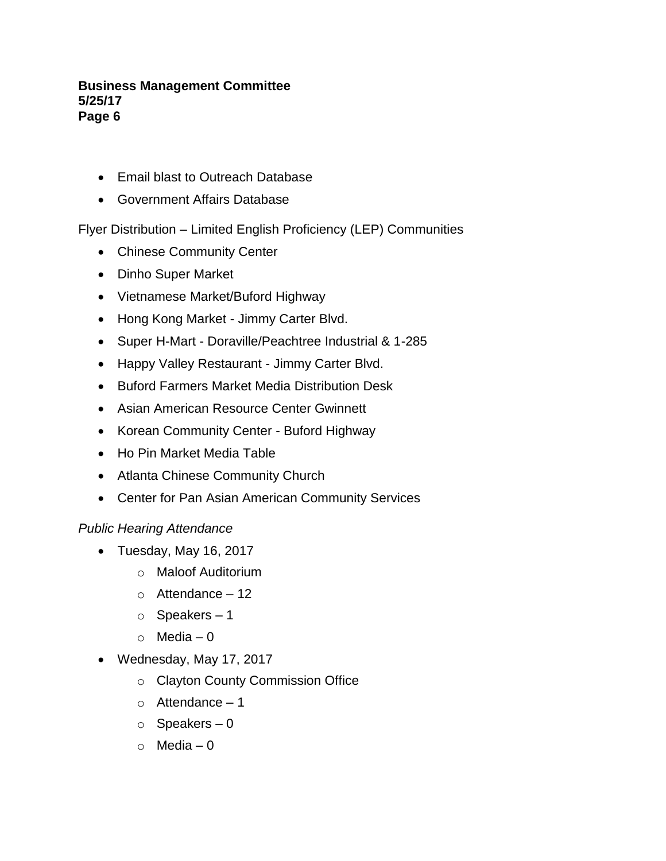- Email blast to Outreach Database
- Government Affairs Database

Flyer Distribution – Limited English Proficiency (LEP) Communities

- Chinese Community Center
- Dinho Super Market
- Vietnamese Market/Buford Highway
- Hong Kong Market Jimmy Carter Blvd.
- Super H-Mart Doraville/Peachtree Industrial & 1-285
- Happy Valley Restaurant Jimmy Carter Blvd.
- Buford Farmers Market Media Distribution Desk
- Asian American Resource Center Gwinnett
- Korean Community Center Buford Highway
- Ho Pin Market Media Table
- Atlanta Chinese Community Church
- Center for Pan Asian American Community Services

### *Public Hearing Attendance*

- Tuesday, May 16, 2017
	- o Maloof Auditorium
	- $\circ$  Attendance 12
	- o Speakers 1
	- $\circ$  Media 0
- Wednesday, May 17, 2017
	- o Clayton County Commission Office
	- $\circ$  Attendance 1
	- $\circ$  Speakers 0
	- o Media 0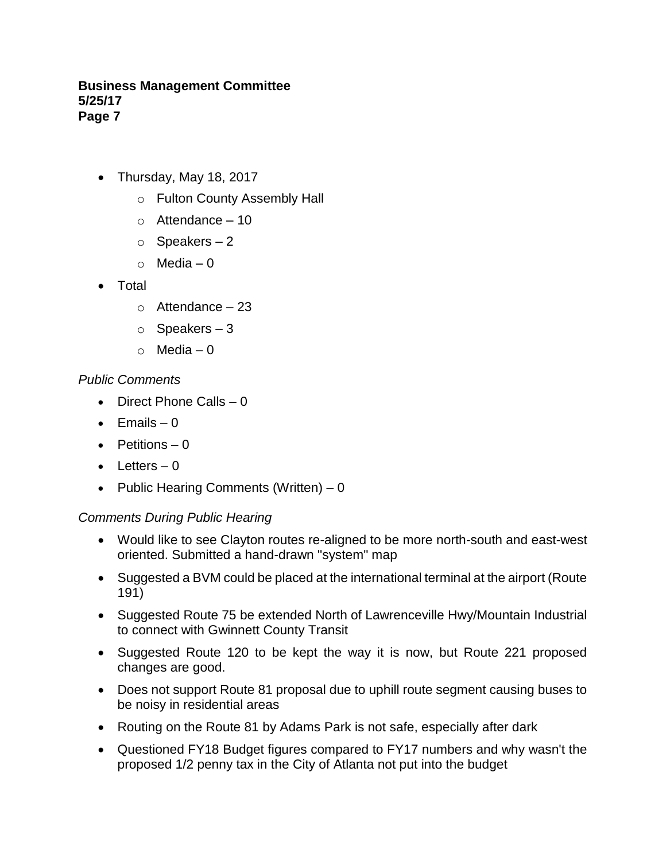- Thursday, May 18, 2017
	- o Fulton County Assembly Hall
	- $\circ$  Attendance 10
	- $\circ$  Speakers 2
	- $\circ$  Media 0
- Total
	- $\circ$  Attendance 23
	- $\circ$  Speakers 3
	- $\circ$  Media 0

### *Public Comments*

- Direct Phone Calls 0
- $\bullet$  Fmails 0
- Petitions  $-0$
- $\bullet$  Letters  $-0$
- Public Hearing Comments (Written) 0

### *Comments During Public Hearing*

- Would like to see Clayton routes re-aligned to be more north-south and east-west oriented. Submitted a hand-drawn "system" map
- Suggested a BVM could be placed at the international terminal at the airport (Route 191)
- Suggested Route 75 be extended North of Lawrenceville Hwy/Mountain Industrial to connect with Gwinnett County Transit
- Suggested Route 120 to be kept the way it is now, but Route 221 proposed changes are good.
- Does not support Route 81 proposal due to uphill route segment causing buses to be noisy in residential areas
- Routing on the Route 81 by Adams Park is not safe, especially after dark
- Questioned FY18 Budget figures compared to FY17 numbers and why wasn't the proposed 1/2 penny tax in the City of Atlanta not put into the budget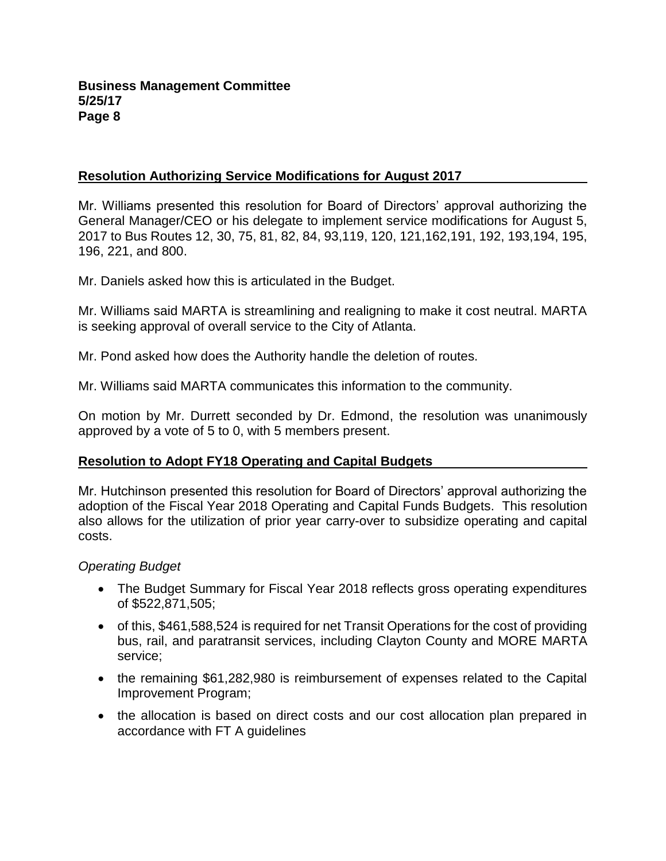### **Resolution Authorizing Service Modifications for August 2017**

Mr. Williams presented this resolution for Board of Directors' approval authorizing the General Manager/CEO or his delegate to implement service modifications for August 5, 2017 to Bus Routes 12, 30, 75, 81, 82, 84, 93,119, 120, 121,162,191, 192, 193,194, 195, 196, 221, and 800.

Mr. Daniels asked how this is articulated in the Budget.

Mr. Williams said MARTA is streamlining and realigning to make it cost neutral. MARTA is seeking approval of overall service to the City of Atlanta.

Mr. Pond asked how does the Authority handle the deletion of routes.

Mr. Williams said MARTA communicates this information to the community.

On motion by Mr. Durrett seconded by Dr. Edmond, the resolution was unanimously approved by a vote of 5 to 0, with 5 members present.

### **Resolution to Adopt FY18 Operating and Capital Budgets**

Mr. Hutchinson presented this resolution for Board of Directors' approval authorizing the adoption of the Fiscal Year 2018 Operating and Capital Funds Budgets. This resolution also allows for the utilization of prior year carry-over to subsidize operating and capital costs.

### *Operating Budget*

- The Budget Summary for Fiscal Year 2018 reflects gross operating expenditures of \$522,871,505;
- of this, \$461,588,524 is required for net Transit Operations for the cost of providing bus, rail, and paratransit services, including Clayton County and MORE MARTA service;
- the remaining \$61,282,980 is reimbursement of expenses related to the Capital Improvement Program;
- the allocation is based on direct costs and our cost allocation plan prepared in accordance with FT A guidelines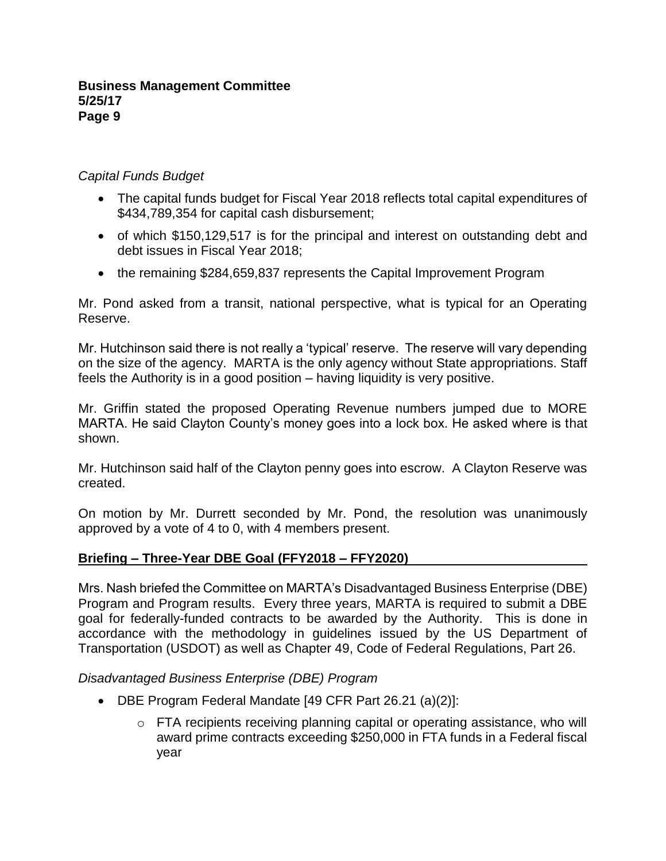## *Capital Funds Budget*

- The capital funds budget for Fiscal Year 2018 reflects total capital expenditures of \$434,789,354 for capital cash disbursement;
- of which \$150,129,517 is for the principal and interest on outstanding debt and debt issues in Fiscal Year 2018;
- the remaining \$284,659,837 represents the Capital Improvement Program

Mr. Pond asked from a transit, national perspective, what is typical for an Operating Reserve.

Mr. Hutchinson said there is not really a 'typical' reserve. The reserve will vary depending on the size of the agency. MARTA is the only agency without State appropriations. Staff feels the Authority is in a good position – having liquidity is very positive.

Mr. Griffin stated the proposed Operating Revenue numbers jumped due to MORE MARTA. He said Clayton County's money goes into a lock box. He asked where is that shown.

Mr. Hutchinson said half of the Clayton penny goes into escrow. A Clayton Reserve was created.

On motion by Mr. Durrett seconded by Mr. Pond, the resolution was unanimously approved by a vote of 4 to 0, with 4 members present.

# **Briefing – Three-Year DBE Goal (FFY2018 – FFY2020)**

Mrs. Nash briefed the Committee on MARTA's Disadvantaged Business Enterprise (DBE) Program and Program results. Every three years, MARTA is required to submit a DBE goal for federally-funded contracts to be awarded by the Authority. This is done in accordance with the methodology in guidelines issued by the US Department of Transportation (USDOT) as well as Chapter 49, Code of Federal Regulations, Part 26.

# *Disadvantaged Business Enterprise (DBE) Program*

- DBE Program Federal Mandate [49 CFR Part 26.21 (a)(2)]:
	- o FTA recipients receiving planning capital or operating assistance, who will award prime contracts exceeding \$250,000 in FTA funds in a Federal fiscal year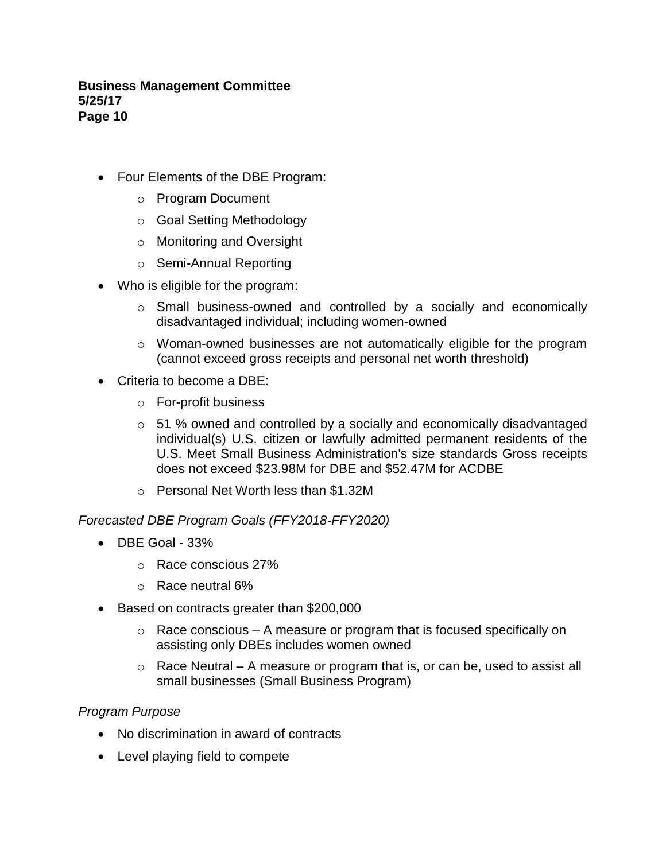- Four Elements of the DBE Program:
	- o Program Document
	- o Goal Setting Methodology
	- o Monitoring and Oversight
	- o Semi-Annual Reporting
- Who is eligible for the program:
	- o Small business-owned and controlled by a socially and economically disadvantaged individual; including women-owned
	- $\circ$  Woman-owned businesses are not automatically eligible for the program (cannot exceed gross receipts and personal net worth threshold)
- Criteria to become a DBE:
	- o For-profit business
	- o 51 % owned and controlled by a socially and economically disadvantaged individual(s) U.S. citizen or lawfully admitted permanent residents of the U.S. Meet Small Business Administration's size standards Gross receipts does not exceed \$23.98M for DBE and \$52.47M for ACDBE
	- o Personal Net Worth less than \$1.32M

*Forecasted DBE Program Goals (FFY2018-FFY2020)*

- $\bullet$  DBF Goal 33%
	- o Race conscious 27%
	- o Race neutral 6%
- Based on contracts greater than \$200,000
	- $\circ$  Race conscious A measure or program that is focused specifically on assisting only DBEs includes women owned
	- $\circ$  Race Neutral A measure or program that is, or can be, used to assist all small businesses (Small Business Program)

### *Program Purpose*

- No discrimination in award of contracts
- Level playing field to compete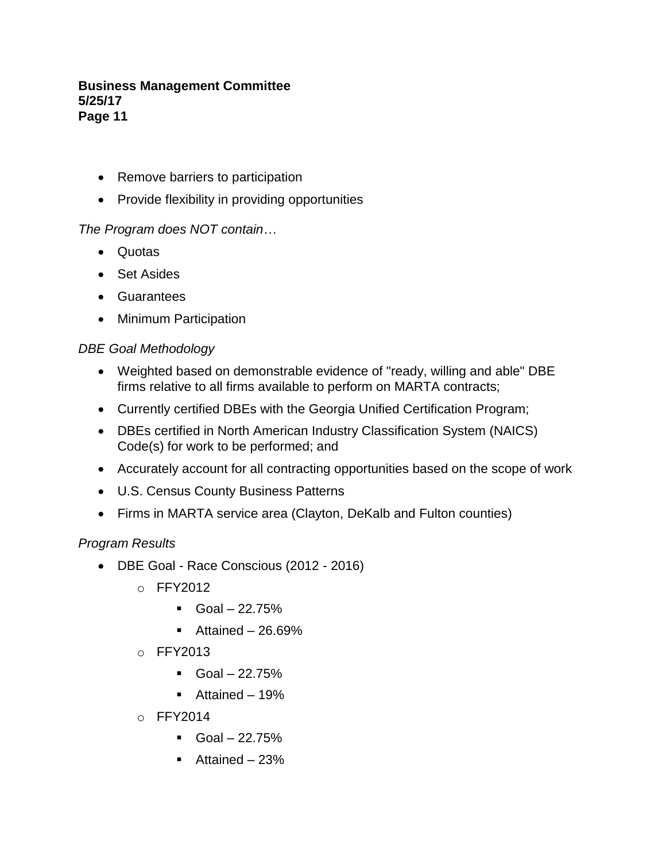- Remove barriers to participation
- Provide flexibility in providing opportunities

## *The Program does NOT contain…*

- Quotas
- Set Asides
- Guarantees
- Minimum Participation

### *DBE Goal Methodology*

- Weighted based on demonstrable evidence of "ready, willing and able" DBE firms relative to all firms available to perform on MARTA contracts;
- Currently certified DBEs with the Georgia Unified Certification Program;
- DBEs certified in North American Industry Classification System (NAICS) Code(s) for work to be performed; and
- Accurately account for all contracting opportunities based on the scope of work
- U.S. Census County Business Patterns
- Firms in MARTA service area (Clayton, DeKalb and Fulton counties)

### *Program Results*

- DBE Goal Race Conscious (2012 2016)
	- o FFY2012
		- $\blacksquare$  Goal 22.75%
		- $\blacksquare$  Attained 26.69%
	- o FFY2013
		- $\blacksquare$  Goal 22.75%
		- Attained 19%
	- o FFY2014
		- $\blacksquare$  Goal 22.75%
		- Attained 23%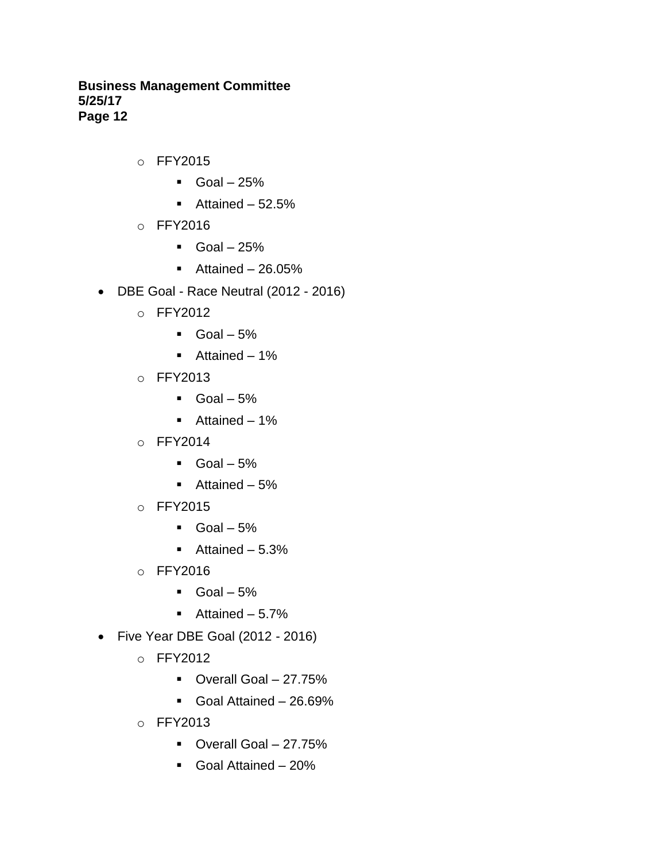- o FFY2015
	- $\blacksquare$  Goal 25%
	- $\blacksquare$  Attained 52.5%
- o FFY2016
	- $\blacksquare$  Goal 25%
	- $\blacksquare$  Attained 26.05%
- DBE Goal Race Neutral (2012 2016)
	- o FFY2012
		- $\blacksquare$  Goal 5%
		- Attained 1%
	- o FFY2013
		- $\blacksquare$  Goal 5%
		- Attained 1%
	- o FFY2014
		- $\blacksquare$  Goal 5%
		- Attained 5%
	- o FFY2015
		- $\text{Goal} 5\%$
		- $\blacksquare$  Attained 5.3%
	- o FFY2016
		- $\blacksquare$  Goal 5%
		- $\blacksquare$  Attained 5.7%
- Five Year DBE Goal (2012 2016)
	- o FFY2012
		- Overall Goal 27.75%
		- Goal Attained 26.69%
	- o FFY2013
		- Overall Goal 27.75%
		- Goal Attained 20%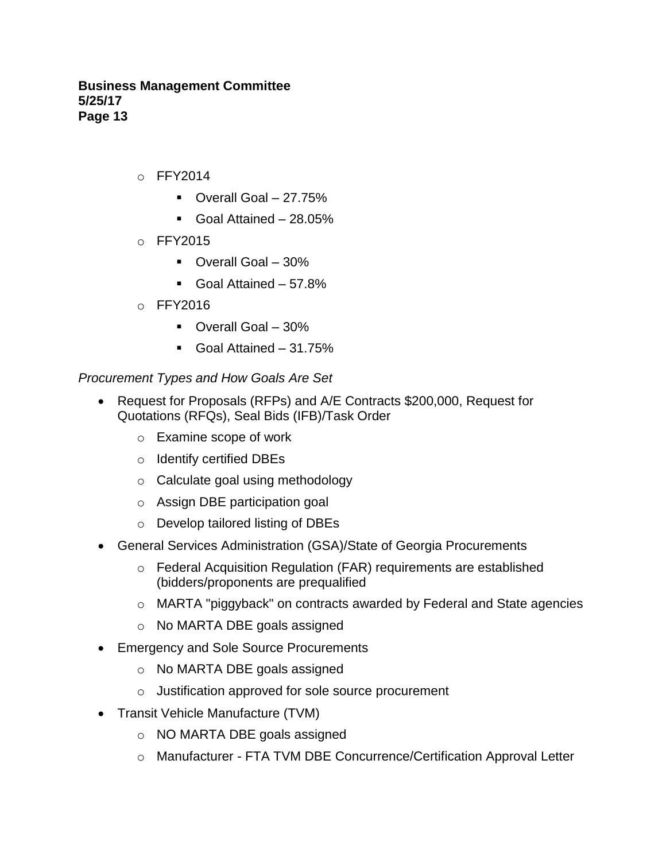- $O$  FFY2014
	- Overall Goal 27.75%
	- Goal Attained 28.05%
- o FFY2015
	- Overall Goal 30%
	- Goal Attained 57.8%
- o FFY2016
	- Overall Goal 30%
	- Goal Attained 31.75%

### *Procurement Types and How Goals Are Set*

- Request for Proposals (RFPs) and A/E Contracts \$200,000, Request for Quotations (RFQs), Seal Bids (IFB)/Task Order
	- o Examine scope of work
	- o Identify certified DBEs
	- o Calculate goal using methodology
	- o Assign DBE participation goal
	- o Develop tailored listing of DBEs
- General Services Administration (GSA)/State of Georgia Procurements
	- o Federal Acquisition Regulation (FAR) requirements are established (bidders/proponents are prequalified
	- o MARTA "piggyback" on contracts awarded by Federal and State agencies
	- o No MARTA DBE goals assigned
- Emergency and Sole Source Procurements
	- o No MARTA DBE goals assigned
	- o Justification approved for sole source procurement
- Transit Vehicle Manufacture (TVM)
	- o NO MARTA DBE goals assigned
	- o Manufacturer FTA TVM DBE Concurrence/Certification Approval Letter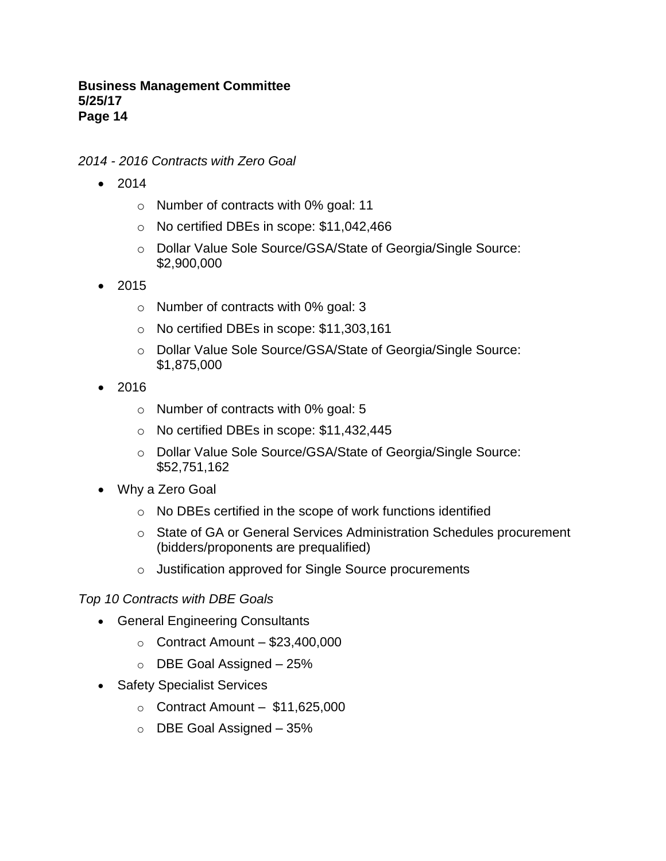*2014 - 2016 Contracts with Zero Goal*

- 2014
	- o Number of contracts with 0% goal: 11
	- o No certified DBEs in scope: \$11,042,466
	- o Dollar Value Sole Source/GSA/State of Georgia/Single Source: \$2,900,000
- 2015
	- o Number of contracts with 0% goal: 3
	- o No certified DBEs in scope: \$11,303,161
	- o Dollar Value Sole Source/GSA/State of Georgia/Single Source: \$1,875,000
- 2016
	- o Number of contracts with 0% goal: 5
	- o No certified DBEs in scope: \$11,432,445
	- o Dollar Value Sole Source/GSA/State of Georgia/Single Source: \$52,751,162
- Why a Zero Goal
	- o No DBEs certified in the scope of work functions identified
	- o State of GA or General Services Administration Schedules procurement (bidders/proponents are prequalified)
	- o Justification approved for Single Source procurements

### *Top 10 Contracts with DBE Goals*

- General Engineering Consultants
	- $\circ$  Contract Amount \$23,400,000
	- $\circ$  DBE Goal Assigned 25%
- Safety Specialist Services
	- $\circ$  Contract Amount \$11,625,000
	- o DBE Goal Assigned 35%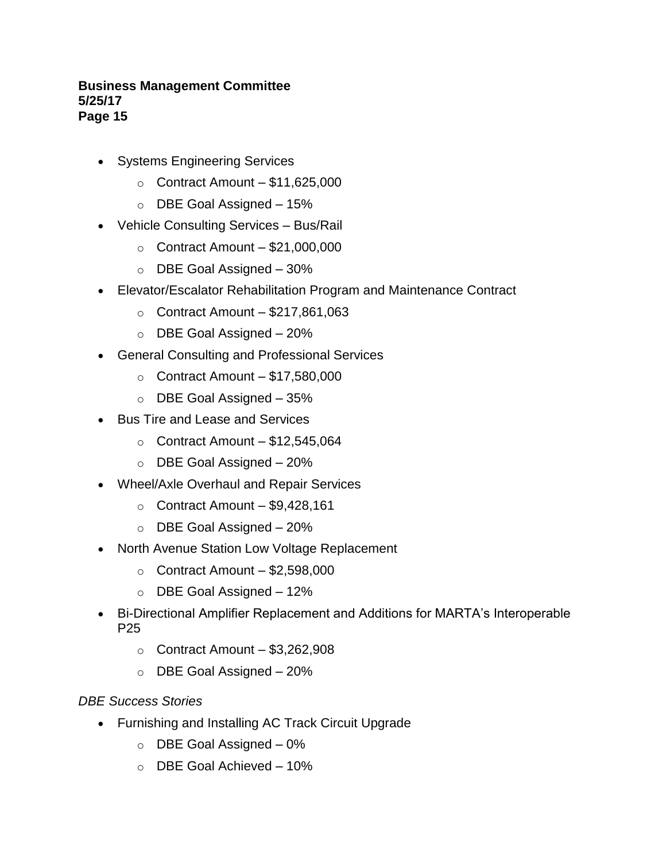- Systems Engineering Services
	- $\circ$  Contract Amount \$11,625,000
	- $\circ$  DBE Goal Assigned 15%
- Vehicle Consulting Services Bus/Rail
	- $\circ$  Contract Amount \$21,000,000
	- o DBE Goal Assigned 30%
- Elevator/Escalator Rehabilitation Program and Maintenance Contract
	- $\circ$  Contract Amount \$217,861,063
	- o DBE Goal Assigned 20%
- General Consulting and Professional Services
	- $\circ$  Contract Amount \$17,580,000
	- $\circ$  DBE Goal Assigned 35%
- Bus Tire and Lease and Services
	- $\circ$  Contract Amount \$12,545,064
	- o DBE Goal Assigned 20%
- Wheel/Axle Overhaul and Repair Services
	- $\circ$  Contract Amount \$9,428,161
	- o DBE Goal Assigned 20%
- North Avenue Station Low Voltage Replacement
	- $\circ$  Contract Amount \$2,598,000
	- o DBE Goal Assigned 12%
- Bi-Directional Amplifier Replacement and Additions for MARTA's Interoperable P25
	- $\circ$  Contract Amount \$3,262,908
	- $\circ$  DBE Goal Assigned  $-20\%$

### *DBE Success Stories*

- Furnishing and Installing AC Track Circuit Upgrade
	- $\circ$  DBE Goal Assigned  $-0\%$
	- o DBE Goal Achieved 10%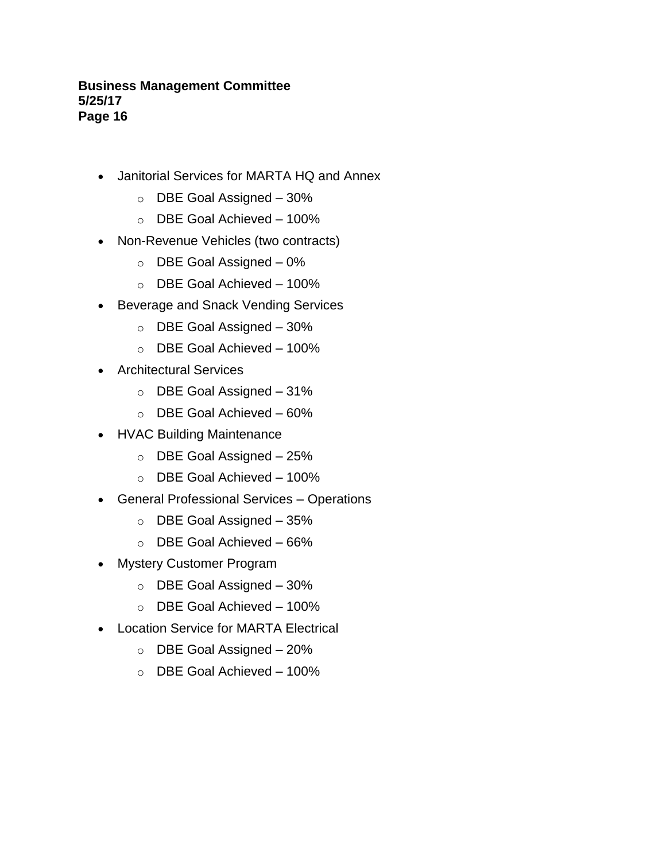- Janitorial Services for MARTA HQ and Annex
	- $\circ$  DBE Goal Assigned 30%
	- o DBE Goal Achieved 100%
- Non-Revenue Vehicles (two contracts)
	- $\circ$  DBE Goal Assigned  $-0\%$
	- o DBE Goal Achieved 100%
- Beverage and Snack Vending Services
	- o DBE Goal Assigned 30%
	- o DBE Goal Achieved 100%
- Architectural Services
	- o DBE Goal Assigned 31%
	- o DBE Goal Achieved 60%
- HVAC Building Maintenance
	- o DBE Goal Assigned 25%
	- o DBE Goal Achieved 100%
- General Professional Services Operations
	- o DBE Goal Assigned 35%
	- o DBE Goal Achieved 66%
- Mystery Customer Program
	- $\circ$  DBE Goal Assigned 30%
	- o DBE Goal Achieved 100%
- Location Service for MARTA Electrical
	- $\circ$  DBE Goal Assigned 20%
	- $\circ$  DBE Goal Achieved 100%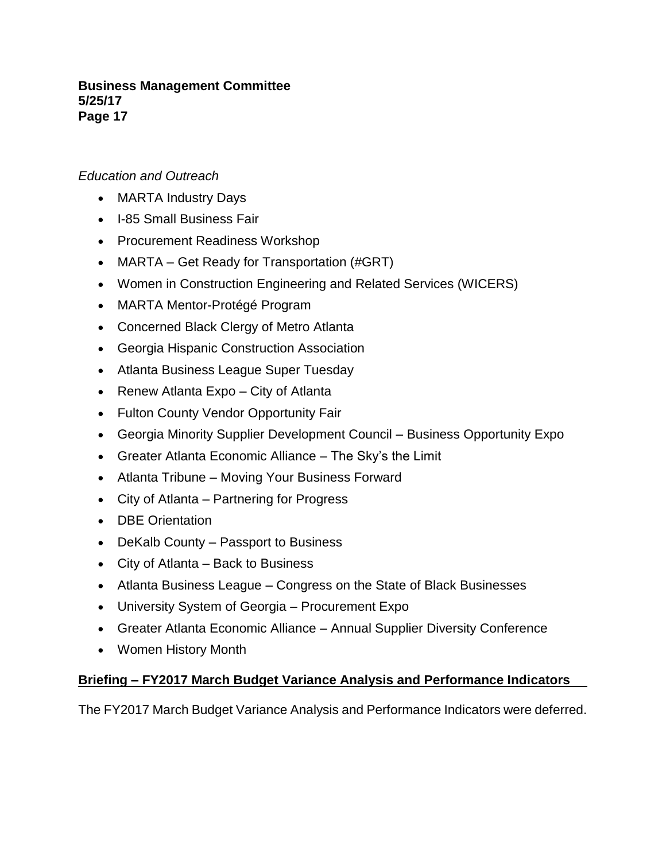# *Education and Outreach*

- MARTA Industry Days
- I-85 Small Business Fair
- Procurement Readiness Workshop
- MARTA Get Ready for Transportation (#GRT)
- Women in Construction Engineering and Related Services (WICERS)
- MARTA Mentor-Protégé Program
- Concerned Black Clergy of Metro Atlanta
- Georgia Hispanic Construction Association
- Atlanta Business League Super Tuesday
- Renew Atlanta Expo City of Atlanta
- Fulton County Vendor Opportunity Fair
- Georgia Minority Supplier Development Council Business Opportunity Expo
- Greater Atlanta Economic Alliance The Sky's the Limit
- Atlanta Tribune Moving Your Business Forward
- City of Atlanta Partnering for Progress
- DBE Orientation
- DeKalb County Passport to Business
- City of Atlanta Back to Business
- Atlanta Business League Congress on the State of Black Businesses
- University System of Georgia Procurement Expo
- Greater Atlanta Economic Alliance Annual Supplier Diversity Conference
- Women History Month

# **Briefing – FY2017 March Budget Variance Analysis and Performance Indicators**

The FY2017 March Budget Variance Analysis and Performance Indicators were deferred.